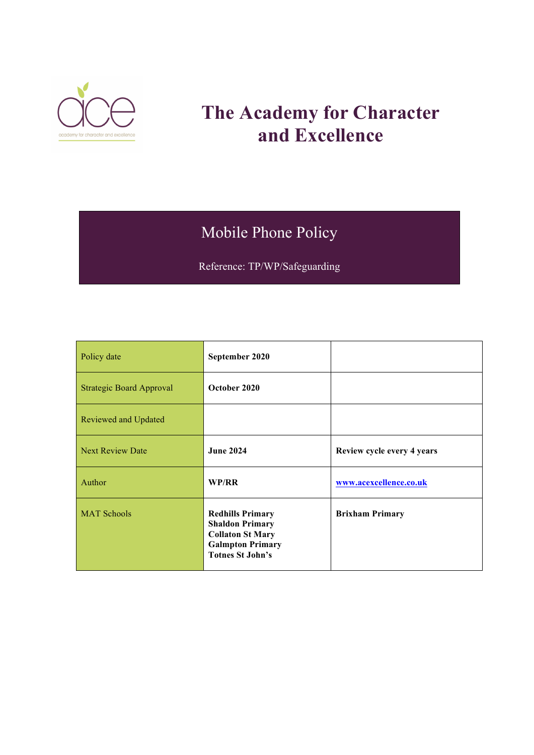

# **The Academy for Character and Excellence**

# Mobile Phone Policy

Reference: TP/WP/Safeguarding

| Policy date                     | September 2020                                                                                                                     |                            |
|---------------------------------|------------------------------------------------------------------------------------------------------------------------------------|----------------------------|
| <b>Strategic Board Approval</b> | October 2020                                                                                                                       |                            |
| Reviewed and Updated            |                                                                                                                                    |                            |
| <b>Next Review Date</b>         | <b>June 2024</b>                                                                                                                   | Review cycle every 4 years |
| Author                          | WP/RR                                                                                                                              | www.acexcellence.co.uk     |
| <b>MAT Schools</b>              | <b>Redhills Primary</b><br><b>Shaldon Primary</b><br><b>Collaton St Mary</b><br><b>Galmpton Primary</b><br><b>Totnes St John's</b> | <b>Brixham Primary</b>     |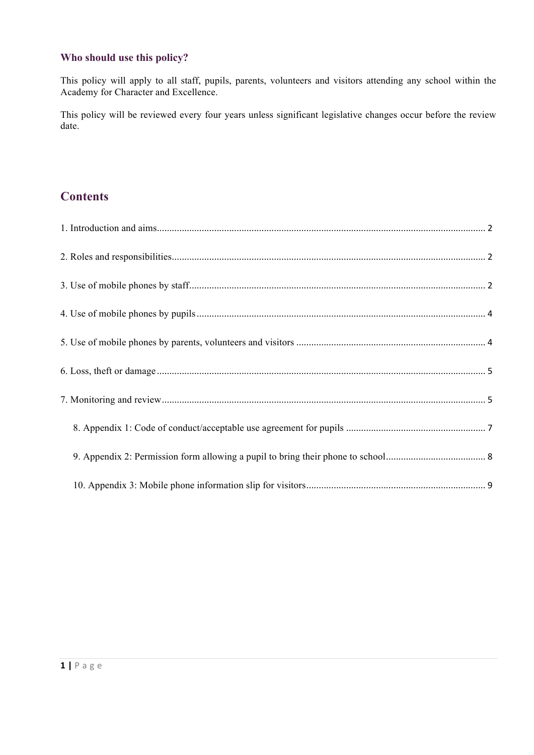## **Who should use this policy?**

This policy will apply to all staff, pupils, parents, volunteers and visitors attending any school within the Academy for Character and Excellence.

This policy will be reviewed every four years unless significant legislative changes occur before the review date.

## **Contents**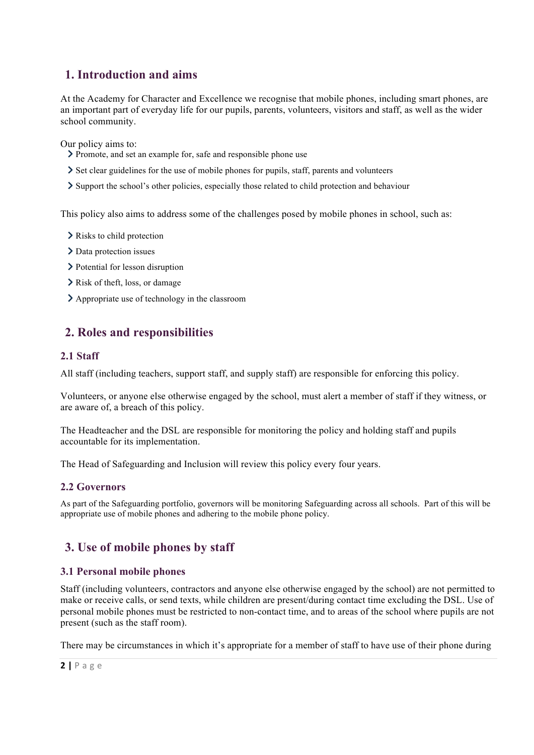## <span id="page-2-0"></span>**1. Introduction and aims**

At the Academy for Character and Excellence we recognise that mobile phones, including smart phones, are an important part of everyday life for our pupils, parents, volunteers, visitors and staff, as well as the wider school community.

Our policy aims to:

- Promote, and set an example for, safe and responsible phone use
- Set clear guidelines for the use of mobile phones for pupils, staff, parents and volunteers
- Support the school's other policies, especially those related to child protection and behaviour

This policy also aims to address some of the challenges posed by mobile phones in school, such as:

- $\sum$  Risks to child protection
- > Data protection issues
- > Potential for lesson disruption
- Risk of theft, loss, or damage
- Appropriate use of technology in the classroom

## <span id="page-2-1"></span>**2. Roles and responsibilities**

## **2.1 Staff**

All staff (including teachers, support staff, and supply staff) are responsible for enforcing this policy.

Volunteers, or anyone else otherwise engaged by the school, must alert a member of staff if they witness, or are aware of, a breach of this policy.

The Headteacher and the DSL are responsible for monitoring the policy and holding staff and pupils accountable for its implementation.

The Head of Safeguarding and Inclusion will review this policy every four years.

## **2.2 Governors**

As part of the Safeguarding portfolio, governors will be monitoring Safeguarding across all schools. Part of this will be appropriate use of mobile phones and adhering to the mobile phone policy.

## <span id="page-2-2"></span>**3. Use of mobile phones by staff**

## **3.1 Personal mobile phones**

Staff (including volunteers, contractors and anyone else otherwise engaged by the school) are not permitted to make or receive calls, or send texts, while children are present/during contact time excluding the DSL. Use of personal mobile phones must be restricted to non-contact time, and to areas of the school where pupils are not present (such as the staff room).

There may be circumstances in which it's appropriate for a member of staff to have use of their phone during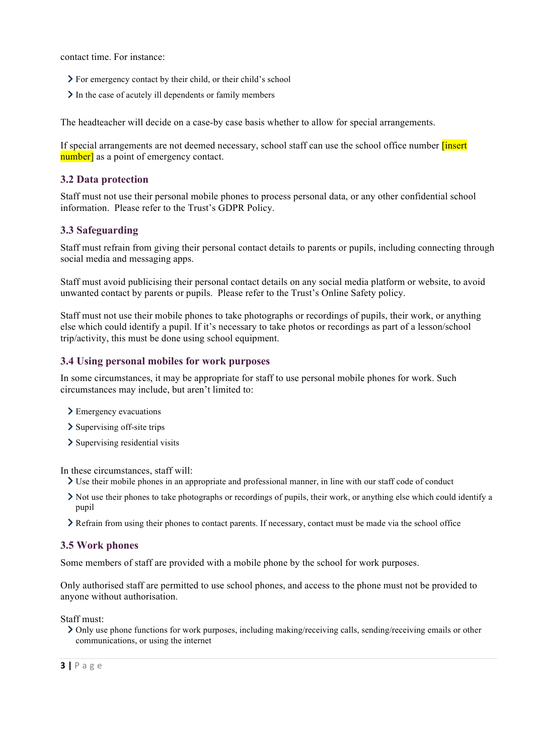contact time. For instance:

- For emergency contact by their child, or their child's school
- In the case of acutely ill dependents or family members

The headteacher will decide on a case-by case basis whether to allow for special arrangements.

If special arrangements are not deemed necessary, school staff can use the school office number **[insert**] number] as a point of emergency contact.

### **3.2 Data protection**

Staff must not use their personal mobile phones to process personal data, or any other confidential school information. Please refer to the Trust's GDPR Policy.

## **3.3 Safeguarding**

Staff must refrain from giving their personal contact details to parents or pupils, including connecting through social media and messaging apps.

Staff must avoid publicising their personal contact details on any social media platform or website, to avoid unwanted contact by parents or pupils. Please refer to the Trust's Online Safety policy.

Staff must not use their mobile phones to take photographs or recordings of pupils, their work, or anything else which could identify a pupil. If it's necessary to take photos or recordings as part of a lesson/school trip/activity, this must be done using school equipment.

#### **3.4 Using personal mobiles for work purposes**

In some circumstances, it may be appropriate for staff to use personal mobile phones for work. Such circumstances may include, but aren't limited to:

- > Emergency evacuations
- $\sum$  Supervising off-site trips
- > Supervising residential visits

In these circumstances, staff will:

- $\geq$  Use their mobile phones in an appropriate and professional manner, in line with our staff code of conduct
- $\geq$  Not use their phones to take photographs or recordings of pupils, their work, or anything else which could identify a pupil
- Refrain from using their phones to contact parents. If necessary, contact must be made via the school office

## **3.5 Work phones**

Some members of staff are provided with a mobile phone by the school for work purposes.

Only authorised staff are permitted to use school phones, and access to the phone must not be provided to anyone without authorisation.

Staff must:

Only use phone functions for work purposes, including making/receiving calls, sending/receiving emails or other communications, or using the internet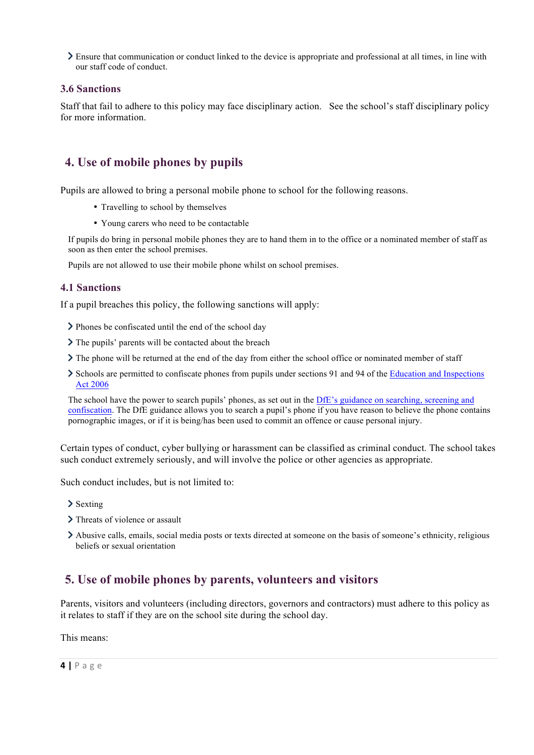$\geq$  Ensure that communication or conduct linked to the device is appropriate and professional at all times, in line with our staff code of conduct.

### **3.6 Sanctions**

Staff that fail to adhere to this policy may face disciplinary action. See the school's staff disciplinary policy for more information.

## <span id="page-4-0"></span>**4. Use of mobile phones by pupils**

Pupils are allowed to bring a personal mobile phone to school for the following reasons.

- Travelling to school by themselves
- Young carers who need to be contactable

If pupils do bring in personal mobile phones they are to hand them in to the office or a nominated member of staff as soon as then enter the school premises.

Pupils are not allowed to use their mobile phone whilst on school premises.

#### **4.1 Sanctions**

If a pupil breaches this policy, the following sanctions will apply:

- Phones be confiscated until the end of the school day
- $\sum$  The pupils' parents will be contacted about the breach
- $\sum$  The phone will be returned at the end of the day from either the school office or nominated member of staff
- Schools are permitted to confiscate phones from pupils under sections 91 and 94 of the [Education and Inspections](https://www.legislation.gov.uk/ukpga/2006/40/section/94) [Act 2006](https://www.legislation.gov.uk/ukpga/2006/40/section/94)

The school have the power to search pupils' phones, as set out in the [DfE's guidance on searching, screening and](https://www.gov.uk/government/publications/searching-screening-and-confiscation) [confiscation](https://www.gov.uk/government/publications/searching-screening-and-confiscation). The DfE guidance allows you to search a pupil's phone if you have reason to believe the phone contains pornographic images, or if it is being/has been used to commit an offence or cause personal injury.

Certain types of conduct, cyber bullying or harassment can be classified as criminal conduct. The school takes such conduct extremely seriously, and will involve the police or other agencies as appropriate.

Such conduct includes, but is not limited to:

- > Sexting
- > Threats of violence or assault
- Abusive calls, emails, social media posts or texts directed at someone on the basis of someone's ethnicity, religious beliefs or sexual orientation

## <span id="page-4-1"></span>**5. Use of mobile phones by parents, volunteers and visitors**

Parents, visitors and volunteers (including directors, governors and contractors) must adhere to this policy as it relates to staff if they are on the school site during the school day.

This means: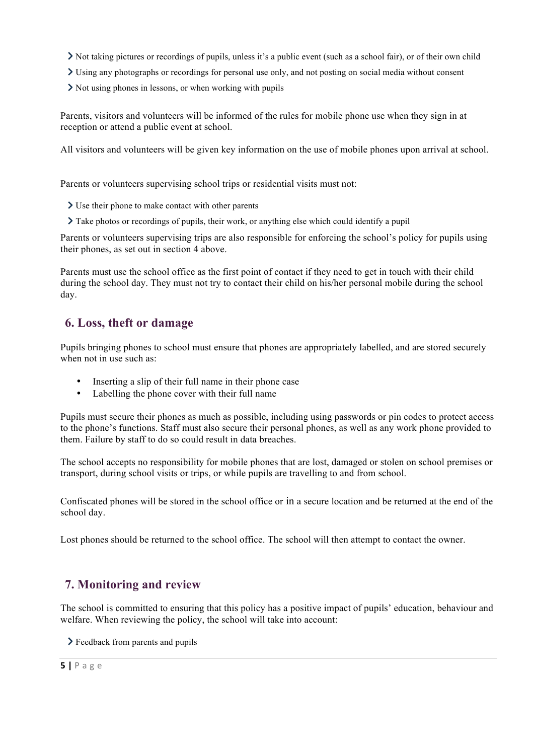- Not taking pictures or recordings of pupils, unless it's a public event (such as a school fair), or of their own child
- Using any photographs or recordings for personal use only, and not posting on social media without consent
- $\sum$  Not using phones in lessons, or when working with pupils

Parents, visitors and volunteers will be informed of the rules for mobile phone use when they sign in at reception or attend a public event at school.

All visitors and volunteers will be given key information on the use of mobile phones upon arrival at school.

Parents or volunteers supervising school trips or residential visits must not:

- Use their phone to make contact with other parents
- Take photos or recordings of pupils, their work, or anything else which could identify a pupil

Parents or volunteers supervising trips are also responsible for enforcing the school's policy for pupils using their phones, as set out in section 4 above.

Parents must use the school office as the first point of contact if they need to get in touch with their child during the school day. They must not try to contact their child on his/her personal mobile during the school day.

## <span id="page-5-0"></span>**6. Loss, theft or damage**

Pupils bringing phones to school must ensure that phones are appropriately labelled, and are stored securely when not in use such as:

- Inserting a slip of their full name in their phone case
- Labelling the phone cover with their full name

Pupils must secure their phones as much as possible, including using passwords or pin codes to protect access to the phone's functions. Staff must also secure their personal phones, as well as any work phone provided to them. Failure by staff to do so could result in data breaches.

The school accepts no responsibility for mobile phones that are lost, damaged or stolen on school premises or transport, during school visits or trips, or while pupils are travelling to and from school.

Confiscated phones will be stored in the school office or in a secure location and be returned at the end of the school day.

Lost phones should be returned to the school office. The school will then attempt to contact the owner.

## <span id="page-5-1"></span>**7. Monitoring and review**

The school is committed to ensuring that this policy has a positive impact of pupils' education, behaviour and welfare. When reviewing the policy, the school will take into account:

> Feedback from parents and pupils

#### **5 |** Page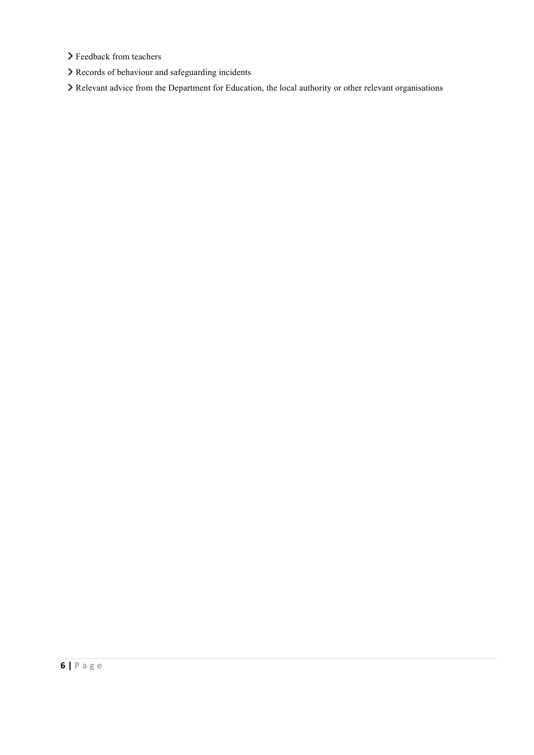- > Feedback from teachers
- Records of behaviour and safeguarding incidents
- Relevant advice from the Department for Education, the local authority or other relevant organisations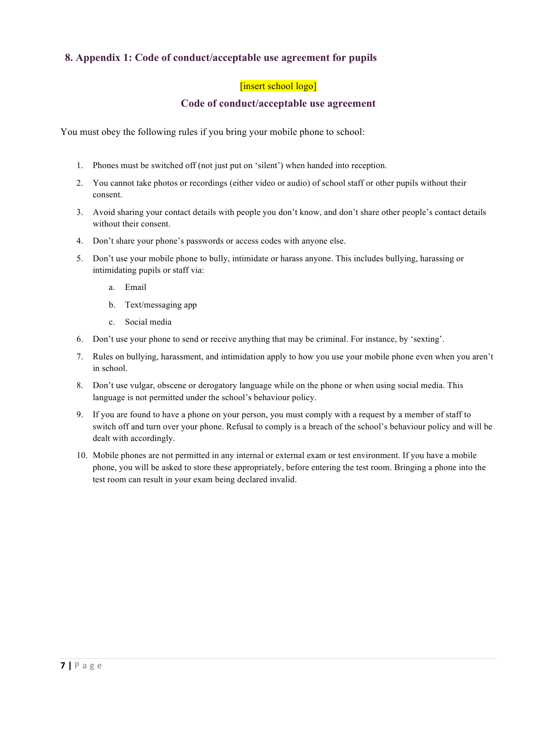## <span id="page-7-0"></span>**8. Appendix 1: Code of conduct/acceptable use agreement for pupils**

## [insert school logo]

## **Code of conduct/acceptable use agreement**

You must obey the following rules if you bring your mobile phone to school:

- 1. Phones must be switched off (not just put on 'silent') when handed into reception.
- 2. You cannot take photos or recordings (either video or audio) of school staff or other pupils without their consent.
- 3. Avoid sharing your contact details with people you don't know, and don't share other people's contact details without their consent.
- 4. Don't share your phone's passwords or access codes with anyone else.
- 5. Don't use your mobile phone to bully, intimidate or harass anyone. This includes bullying, harassing or intimidating pupils or staff via:
	- a. Email
	- b. Text/messaging app
	- c. Social media
- 6. Don't use your phone to send or receive anything that may be criminal. For instance, by 'sexting'.
- 7. Rules on bullying, harassment, and intimidation apply to how you use your mobile phone even when you aren't in school.
- 8. Don't use vulgar, obscene or derogatory language while on the phone or when using social media. This language is not permitted under the school's behaviour policy.
- 9. If you are found to have a phone on your person, you must comply with a request by a member of staff to switch off and turn over your phone. Refusal to comply is a breach of the school's behaviour policy and will be dealt with accordingly.
- 10. Mobile phones are not permitted in any internal or external exam or test environment. If you have a mobile phone, you will be asked to store these appropriately, before entering the test room. Bringing a phone into the test room can result in your exam being declared invalid.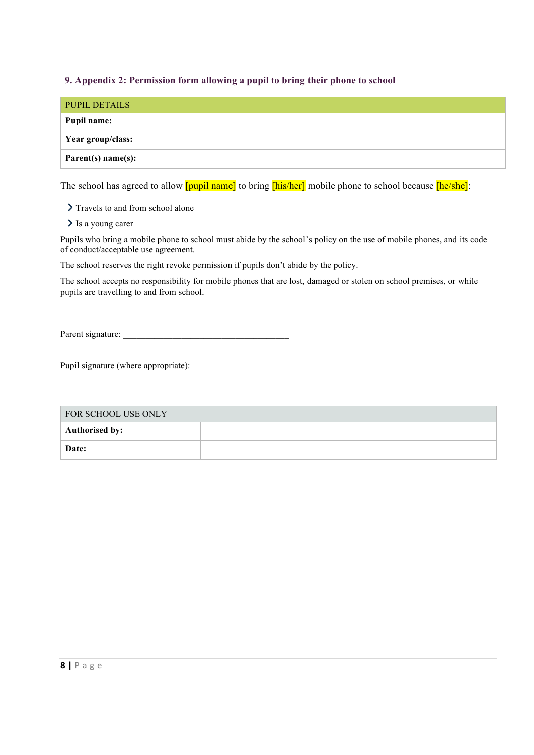## <span id="page-8-0"></span>**9. Appendix 2: Permission form allowing a pupil to bring their phone to school**

| <b>PUPIL DETAILS</b> |  |
|----------------------|--|
| Pupil name:          |  |
| Year group/class:    |  |
| Parent(s) name(s):   |  |

The school has agreed to allow **[pupil name]** to bring **[his/her]** mobile phone to school because **[he/she]**:

> Travels to and from school alone

> Is a young carer

Pupils who bring a mobile phone to school must abide by the school's policy on the use of mobile phones, and its code of conduct/acceptable use agreement.

The school reserves the right revoke permission if pupils don't abide by the policy.

The school accepts no responsibility for mobile phones that are lost, damaged or stolen on school premises, or while pupils are travelling to and from school.

Parent signature:

Pupil signature (where appropriate): \_\_\_\_\_\_\_\_\_\_\_\_\_\_\_\_\_\_\_\_\_\_\_\_\_\_\_\_\_\_\_\_\_\_\_\_\_\_\_

| FOR SCHOOL USE ONLY   |  |  |
|-----------------------|--|--|
| <b>Authorised by:</b> |  |  |
| Date:                 |  |  |